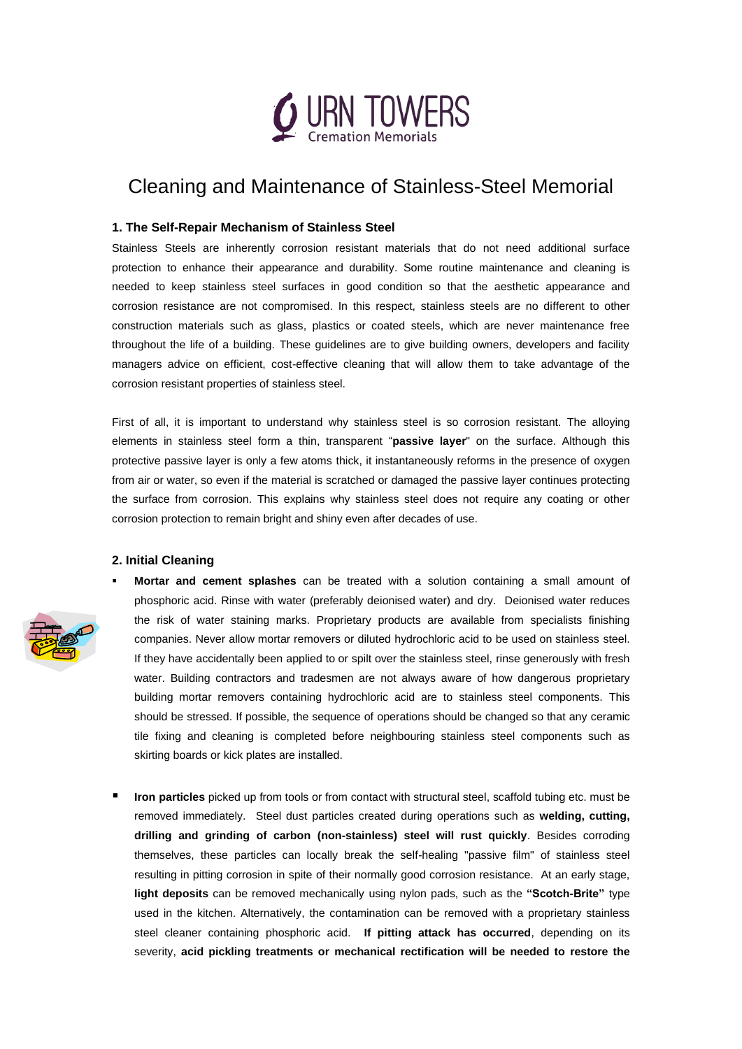

# Cleaning and Maintenance of Stainless-Steel Memorial

### **1. The Self-Repair Mechanism of Stainless Steel**

Stainless Steels are inherently corrosion resistant materials that do not need additional surface protection to enhance their appearance and durability. Some routine maintenance and cleaning is needed to keep stainless steel surfaces in good condition so that the aesthetic appearance and corrosion resistance are not compromised. In this respect, stainless steels are no different to other construction materials such as glass, plastics or coated steels, which are never maintenance free throughout the life of a building. These guidelines are to give building owners, developers and facility managers advice on efficient, cost-effective cleaning that will allow them to take advantage of the corrosion resistant properties of stainless steel.

First of all, it is important to understand why stainless steel is so corrosion resistant. The alloying elements in stainless steel form a thin, transparent "**passive layer**" on the surface. Although this protective passive layer is only a few atoms thick, it instantaneously reforms in the presence of oxygen from air or water, so even if the material is scratched or damaged the passive layer continues protecting the surface from corrosion. This explains why stainless steel does not require any coating or other corrosion protection to remain bright and shiny even after decades of use.

### **2. Initial Cleaning**



- **Mortar and cement splashes** can be treated with a solution containing a small amount of phosphoric acid. Rinse with water (preferably deionised water) and dry. Deionised water reduces the risk of water staining marks. Proprietary products are available from specialists finishing companies. Never allow mortar removers or diluted hydrochloric acid to be used on stainless steel. If they have accidentally been applied to or spilt over the stainless steel, rinse generously with fresh water. Building contractors and tradesmen are not always aware of how dangerous proprietary building mortar removers containing hydrochloric acid are to stainless steel components. This should be stressed. If possible, the sequence of operations should be changed so that any ceramic tile fixing and cleaning is completed before neighbouring stainless steel components such as skirting boards or kick plates are installed.
- Iron particles picked up from tools or from contact with structural steel, scaffold tubing etc. must be removed immediately. Steel dust particles created during operations such as **welding, cutting, drilling and grinding of carbon (non-stainless) steel will rust quickly**. Besides corroding themselves, these particles can locally break the self-healing "passive film" of stainless steel resulting in pitting corrosion in spite of their normally good corrosion resistance. At an early stage, **light deposits** can be removed mechanically using nylon pads, such as the **"Scotch-Brite"** type used in the kitchen. Alternatively, the contamination can be removed with a proprietary stainless steel cleaner containing phosphoric acid. **If pitting attack has occurred**, depending on its severity, **acid pickling treatments or mechanical rectification will be needed to restore the**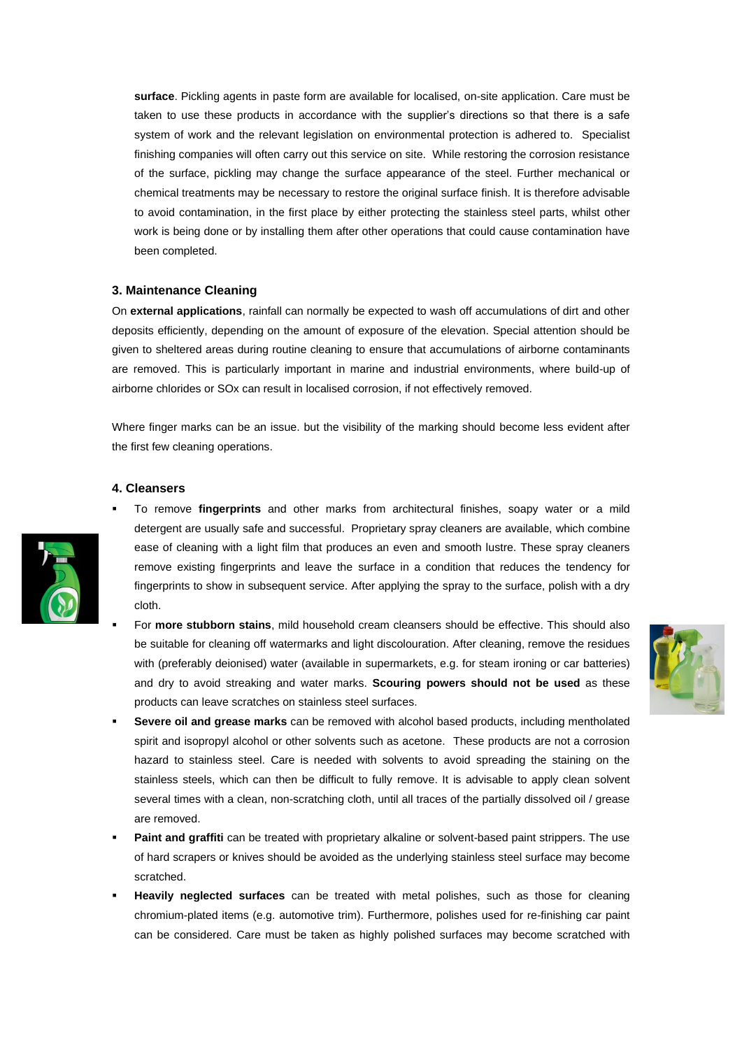**surface**. Pickling agents in paste form are available for localised, on-site application. Care must be taken to use these products in accordance with the supplier's directions so that there is a safe system of work and the relevant legislation on environmental protection is adhered to. Specialist finishing companies will often carry out this service on site. While restoring the corrosion resistance of the surface, pickling may change the surface appearance of the steel. Further mechanical or chemical treatments may be necessary to restore the original surface finish. It is therefore advisable to avoid contamination, in the first place by either protecting the stainless steel parts, whilst other work is being done or by installing them after other operations that could cause contamination have been completed.

#### **3. Maintenance Cleaning**

On **external applications**, rainfall can normally be expected to wash off accumulations of dirt and other deposits efficiently, depending on the amount of exposure of the elevation. Special attention should be given to sheltered areas during routine cleaning to ensure that accumulations of airborne contaminants are removed. This is particularly important in marine and industrial environments, where build-up of airborne chlorides or SOx can result in localised corrosion, if not effectively removed.

Where finger marks can be an issue. but the visibility of the marking should become less evident after the first few cleaning operations.

#### **4. Cleansers**

- To remove **fingerprints** and other marks from architectural finishes, soapy water or a mild detergent are usually safe and successful. Proprietary spray cleaners are available, which combine ease of cleaning with a light film that produces an even and smooth lustre. These spray cleaners remove existing fingerprints and leave the surface in a condition that reduces the tendency for fingerprints to show in subsequent service. After applying the spray to the surface, polish with a dry cloth.
	- For **more stubborn stains**, mild household cream cleansers should be effective. This should also be suitable for cleaning off watermarks and light discolouration. After cleaning, remove the residues with (preferably deionised) water (available in supermarkets, e.g. for steam ironing or car batteries) and dry to avoid streaking and water marks. **Scouring powers should not be used** as these products can leave scratches on stainless steel surfaces.



- Severe oil and grease marks can be removed with alcohol based products, including mentholated spirit and isopropyl alcohol or other solvents such as acetone. These products are not a corrosion hazard to stainless steel. Care is needed with solvents to avoid spreading the staining on the stainless steels, which can then be difficult to fully remove. It is advisable to apply clean solvent several times with a clean, non-scratching cloth, until all traces of the partially dissolved oil / grease are removed.
- Paint and graffiti can be treated with proprietary alkaline or solvent-based paint strippers. The use of hard scrapers or knives should be avoided as the underlying stainless steel surface may become scratched.
- **Heavily neglected surfaces** can be treated with metal polishes, such as those for cleaning chromium-plated items (e.g. automotive trim). Furthermore, polishes used for re-finishing car paint can be considered. Care must be taken as highly polished surfaces may become scratched with

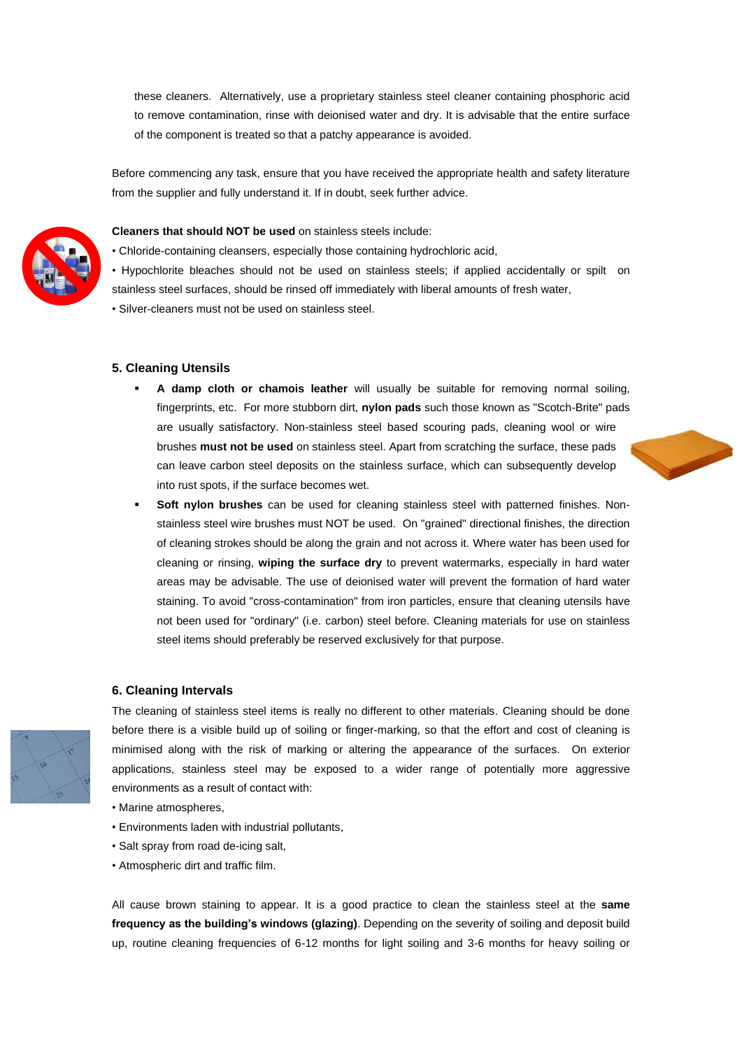these cleaners. Alternatively, use a proprietary stainless steel cleaner containing phosphoric acid to remove contamination, rinse with deionised water and dry. It is advisable that the entire surface of the component is treated so that a patchy appearance is avoided.

Before commencing any task, ensure that you have received the appropriate health and safety literature from the supplier and fully understand it. If in doubt, seek further advice.



#### **Cleaners that should NOT be used** on stainless steels include:

- Chloride-containing cleansers, especially those containing hydrochloric acid,
- Hypochlorite bleaches should not be used on stainless steels; if applied accidentally or spilt on stainless steel surfaces, should be rinsed off immediately with liberal amounts of fresh water,
- Silver-cleaners must not be used on stainless steel.

#### **5. Cleaning Utensils**

- A damp cloth or chamois leather will usually be suitable for removing normal soiling, fingerprints, etc. For more stubborn dirt, **nylon pads** such those known as "Scotch-Brite" pads are usually satisfactory. Non-stainless steel based scouring pads, cleaning wool or wire brushes **must not be used** on stainless steel. Apart from scratching the surface, these pads can leave carbon steel deposits on the stainless surface, which can subsequently develop into rust spots, if the surface becomes wet.
- **Soft nylon brushes** can be used for cleaning stainless steel with patterned finishes. Nonstainless steel wire brushes must NOT be used. On "grained" directional finishes, the direction of cleaning strokes should be along the grain and not across it. Where water has been used for cleaning or rinsing, **wiping the surface dry** to prevent watermarks, especially in hard water areas may be advisable. The use of deionised water will prevent the formation of hard water staining. To avoid "cross-contamination" from iron particles, ensure that cleaning utensils have not been used for "ordinary" (i.e. carbon) steel before. Cleaning materials for use on stainless steel items should preferably be reserved exclusively for that purpose.

#### **6. Cleaning Intervals**



The cleaning of stainless steel items is really no different to other materials. Cleaning should be done before there is a visible build up of soiling or finger-marking, so that the effort and cost of cleaning is minimised along with the risk of marking or altering the appearance of the surfaces. On exterior applications, stainless steel may be exposed to a wider range of potentially more aggressive environments as a result of contact with:

- Marine atmospheres,
- Environments laden with industrial pollutants,
- Salt spray from road de-icing salt,
- Atmospheric dirt and traffic film.

All cause brown staining to appear. It is a good practice to clean the stainless steel at the **same frequency as the building's windows (glazing)**. Depending on the severity of soiling and deposit build up, routine cleaning frequencies of 6-12 months for light soiling and 3-6 months for heavy soiling or